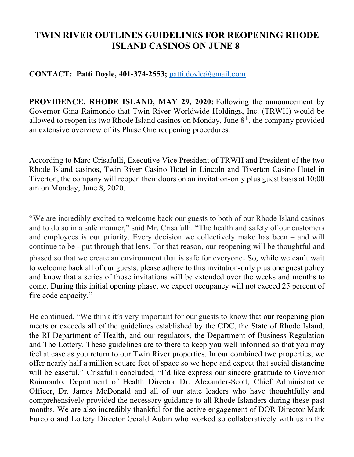## **TWIN RIVER OUTLINES GUIDELINES FOR REOPENING RHODE ISLAND CASINOS ON JUNE 8**

## **CONTACT: Patti Doyle, 401-374-2553;** patti.doyle@gmail.com

**PROVIDENCE, RHODE ISLAND, MAY 29, 2020:** Following the announcement by Governor Gina Raimondo that Twin River Worldwide Holdings, Inc. (TRWH) would be allowed to reopen its two Rhode Island casinos on Monday, June 8<sup>th</sup>, the company provided an extensive overview of its Phase One reopening procedures.

According to Marc Crisafulli, Executive Vice President of TRWH and President of the two Rhode Island casinos, Twin River Casino Hotel in Lincoln and Tiverton Casino Hotel in Tiverton, the company will reopen their doors on an invitation-only plus guest basis at 10:00 am on Monday, June 8, 2020.

"We are incredibly excited to welcome back our guests to both of our Rhode Island casinos and to do so in a safe manner," said Mr. Crisafulli. "The health and safety of our customers and employees is our priority. Every decision we collectively make has been – and will continue to be - put through that lens. For that reason, our reopening will be thoughtful and phased so that we create an environment that is safe for everyone. So, while we can't wait to welcome back all of our guests, please adhere to this invitation-only plus one guest policy and know that a series of those invitations will be extended over the weeks and months to come. During this initial opening phase, we expect occupancy will not exceed 25 percent of fire code capacity."

He continued, "We think it's very important for our guests to know that our reopening plan meets or exceeds all of the guidelines established by the CDC, the State of Rhode Island, the RI Department of Health, and our regulators, the Department of Business Regulation and The Lottery. These guidelines are to there to keep you well informed so that you may feel at ease as you return to our Twin River properties. In our combined two properties, we offer nearly half a million square feet of space so we hope and expect that social distancing will be easeful." Crisafulli concluded, "I'd like express our sincere gratitude to Governor Raimondo, Department of Health Director Dr. Alexander-Scott, Chief Administrative Officer, Dr. James McDonald and all of our state leaders who have thoughtfully and comprehensively provided the necessary guidance to all Rhode Islanders during these past months. We are also incredibly thankful for the active engagement of DOR Director Mark Furcolo and Lottery Director Gerald Aubin who worked so collaboratively with us in the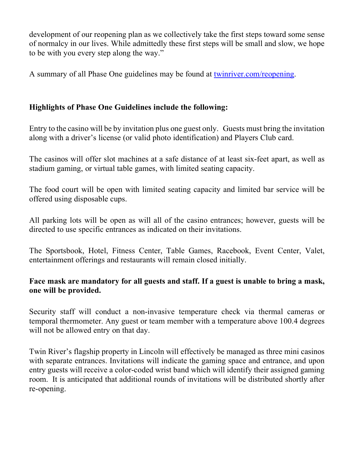development of our reopening plan as we collectively take the first steps toward some sense of normalcy in our lives. While admittedly these first steps will be small and slow, we hope to be with you every step along the way."

A summary of all Phase One guidelines may be found at twinriver.com/reopening.

## **Highlights of Phase One Guidelines include the following:**

Entry to the casino will be by invitation plus one guest only. Guests must bring the invitation along with a driver's license (or valid photo identification) and Players Club card.

The casinos will offer slot machines at a safe distance of at least six-feet apart, as well as stadium gaming, or virtual table games, with limited seating capacity.

The food court will be open with limited seating capacity and limited bar service will be offered using disposable cups.

All parking lots will be open as will all of the casino entrances; however, guests will be directed to use specific entrances as indicated on their invitations.

The Sportsbook, Hotel, Fitness Center, Table Games, Racebook, Event Center, Valet, entertainment offerings and restaurants will remain closed initially.

## **Face mask are mandatory for all guests and staff. If a guest is unable to bring a mask, one will be provided.**

Security staff will conduct a non-invasive temperature check via thermal cameras or temporal thermometer. Any guest or team member with a temperature above 100.4 degrees will not be allowed entry on that day.

Twin River's flagship property in Lincoln will effectively be managed as three mini casinos with separate entrances. Invitations will indicate the gaming space and entrance, and upon entry guests will receive a color-coded wrist band which will identify their assigned gaming room. It is anticipated that additional rounds of invitations will be distributed shortly after re-opening.